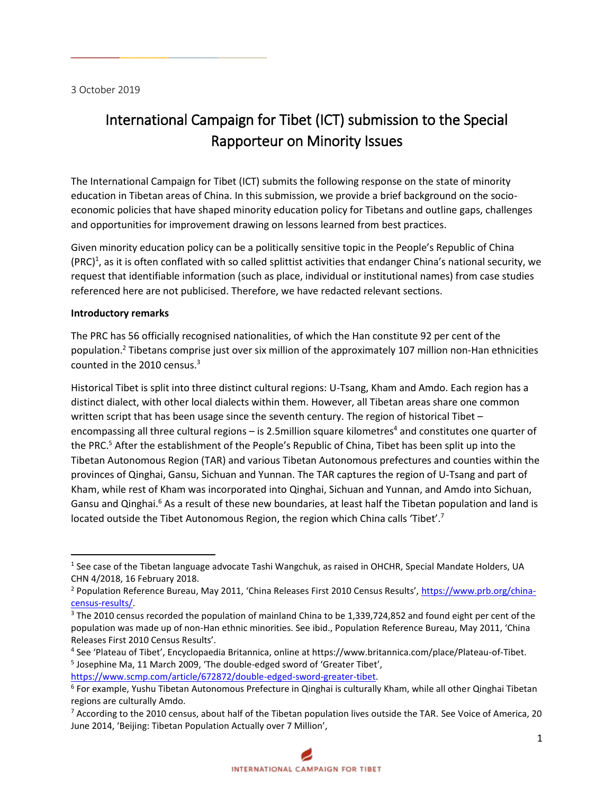3 October 2019

**\_\_\_\_\_\_\_\_\_\_\_\_\_\_\_\_**

# International Campaign for Tibet (ICT) submission to the Special Rapporteur on Minority Issues

The International Campaign for Tibet (ICT) submits the following response on the state of minority education in Tibetan areas of China. In this submission, we provide a brief background on the socioeconomic policies that have shaped minority education policy for Tibetans and outline gaps, challenges and opportunities for improvement drawing on lessons learned from best practices.

Given minority education policy can be a politically sensitive topic in the People's Republic of China  $(PRC)^1$ , as it is often conflated with so called splittist activities that endanger China's national security, we request that identifiable information (such as place, individual or institutional names) from case studies referenced here are not publicised. Therefore, we have redacted relevant sections.

#### **Introductory remarks**

 $\overline{a}$ 

The PRC has 56 officially recognised nationalities, of which the Han constitute 92 per cent of the population.<sup>2</sup> Tibetans comprise just over six million of the approximately 107 million non-Han ethnicities counted in the 2010 census.<sup>3</sup>

Historical Tibet is split into three distinct cultural regions: U-Tsang, Kham and Amdo. Each region has a distinct dialect, with other local dialects within them. However, all Tibetan areas share one common written script that has been usage since the seventh century. The region of historical Tibet encompassing all three cultural regions – is 2.5 million square kilometres<sup>4</sup> and constitutes one quarter of the PRC.<sup>5</sup> After the establishment of the People's Republic of China, Tibet has been split up into the Tibetan Autonomous Region (TAR) and various Tibetan Autonomous prefectures and counties within the provinces of Qinghai, Gansu, Sichuan and Yunnan. The TAR captures the region of U-Tsang and part of Kham, while rest of Kham was incorporated into Qinghai, Sichuan and Yunnan, and Amdo into Sichuan, Gansu and Qinghai.<sup>6</sup> As a result of these new boundaries, at least half the Tibetan population and land is located outside the Tibet Autonomous Region, the region which China calls 'Tibet'.<sup>7</sup>

<sup>&</sup>lt;sup>1</sup> See case of the Tibetan language advocate Tashi Wangchuk, as raised in OHCHR, Special Mandate Holders, UA CHN 4/2018, 16 February 2018.

<sup>&</sup>lt;sup>2</sup> Population Reference Bureau, May 2011, 'China Releases First 2010 Census Results', [https://www.prb.org/china](https://www.prb.org/china-census-results/)[census-results/.](https://www.prb.org/china-census-results/)

<sup>&</sup>lt;sup>3</sup> The 2010 census recorded the population of mainland China to be 1,339,724,852 and found eight per cent of the population was made up of non-Han ethnic minorities. See ibid., Population Reference Bureau, May 2011, 'China Releases First 2010 Census Results'.

<sup>4</sup> See 'Plateau of Tibet', Encyclopaedia Britannica, online at https://www.britannica.com/place/Plateau-of-Tibet.

<sup>&</sup>lt;sup>5</sup> Josephine Ma, 11 March 2009, 'The double-edged sword of 'Greater Tibet',

[https://www.scmp.com/article/672872/double-edged-sword-greater-tibet.](https://www.scmp.com/article/672872/double-edged-sword-greater-tibet)

<sup>6</sup> For example, Yushu Tibetan Autonomous Prefecture in Qinghai is culturally Kham, while all other Qinghai Tibetan regions are culturally Amdo.

 $^7$  According to the 2010 census, about half of the Tibetan population lives outside the TAR. See Voice of America, 20 June 2014, 'Beijing: Tibetan Population Actually over 7 Million',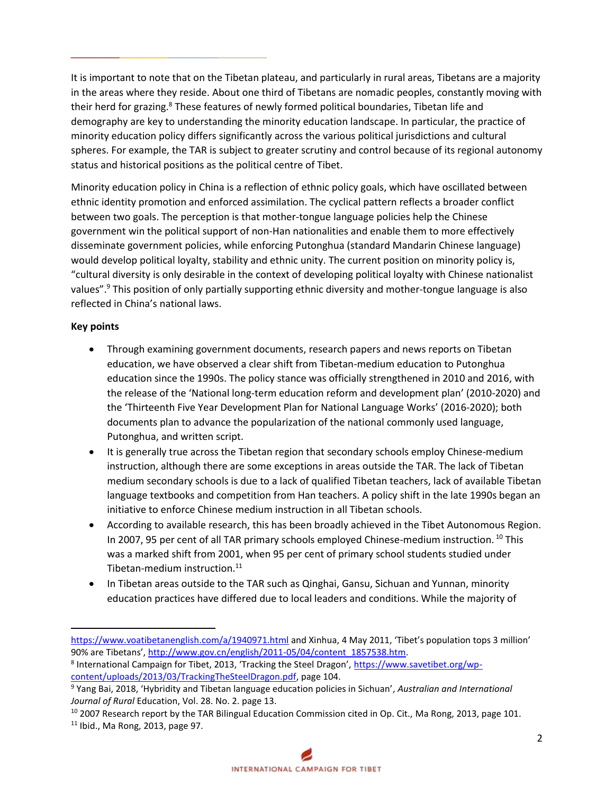It is important to note that on the Tibetan plateau, and particularly in rural areas, Tibetans are a majority in the areas where they reside. About one third of Tibetans are nomadic peoples, constantly moving with their herd for grazing.<sup>8</sup> These features of newly formed political boundaries, Tibetan life and demography are key to understanding the minority education landscape. In particular, the practice of minority education policy differs significantly across the various political jurisdictions and cultural spheres. For example, the TAR is subject to greater scrutiny and control because of its regional autonomy status and historical positions as the political centre of Tibet.

Minority education policy in China is a reflection of ethnic policy goals, which have oscillated between ethnic identity promotion and enforced assimilation. The cyclical pattern reflects a broader conflict between two goals. The perception is that mother-tongue language policies help the Chinese government win the political support of non-Han nationalities and enable them to more effectively disseminate government policies, while enforcing Putonghua (standard Mandarin Chinese language) would develop political loyalty, stability and ethnic unity. The current position on minority policy is, "cultural diversity is only desirable in the context of developing political loyalty with Chinese nationalist values".<sup>9</sup> This position of only partially supporting ethnic diversity and mother-tongue language is also reflected in China's national laws.

# **Key points**

**\_\_\_\_\_\_\_\_\_\_\_\_\_\_\_\_**

- Through examining government documents, research papers and news reports on Tibetan education, we have observed a clear shift from Tibetan-medium education to Putonghua education since the 1990s. The policy stance was officially strengthened in 2010 and 2016, with the release of the 'National long-term education reform and development plan' (2010-2020) and the 'Thirteenth Five Year Development Plan for National Language Works' (2016-2020); both documents plan to advance the popularization of the national commonly used language, Putonghua, and written script.
- It is generally true across the Tibetan region that secondary schools employ Chinese-medium instruction, although there are some exceptions in areas outside the TAR. The lack of Tibetan medium secondary schools is due to a lack of qualified Tibetan teachers, lack of available Tibetan language textbooks and competition from Han teachers. A policy shift in the late 1990s began an initiative to enforce Chinese medium instruction in all Tibetan schools.
- According to available research, this has been broadly achieved in the Tibet Autonomous Region. In 2007, 95 per cent of all TAR primary schools employed Chinese-medium instruction. <sup>10</sup> This was a marked shift from 2001, when 95 per cent of primary school students studied under Tibetan-medium instruction. $11$
- In Tibetan areas outside to the TAR such as Qinghai, Gansu, Sichuan and Yunnan, minority education practices have differed due to local leaders and conditions. While the majority of

 $\overline{a}$ <https://www.voatibetanenglish.com/a/1940971.html> and Xinhua, 4 May 2011, 'Tibet's population tops 3 million' 90% are Tibetans', [http://www.gov.cn/english/2011-05/04/content\\_1857538.htm.](http://www.gov.cn/english/2011-05/04/content_1857538.htm)

<sup>&</sup>lt;sup>8</sup> International Campaign for Tibet, 2013, 'Tracking the Steel Dragon', [https://www.savetibet.org/wp](https://www.savetibet.org/wp-content/uploads/2013/03/TrackingTheSteelDragon.pdf)[content/uploads/2013/03/TrackingTheSteelDragon.pdf,](https://www.savetibet.org/wp-content/uploads/2013/03/TrackingTheSteelDragon.pdf) page 104.

<sup>9</sup> Yang Bai, 2018, 'Hybridity and Tibetan language education policies in Sichuan', *Australian and International Journal of Rural* Education, Vol. 28. No. 2. page 13.

 $10$  2007 Research report by the TAR Bilingual Education Commission cited in Op. Cit., Ma Rong, 2013, page 101.  $11$  Ibid., Ma Rong, 2013, page 97.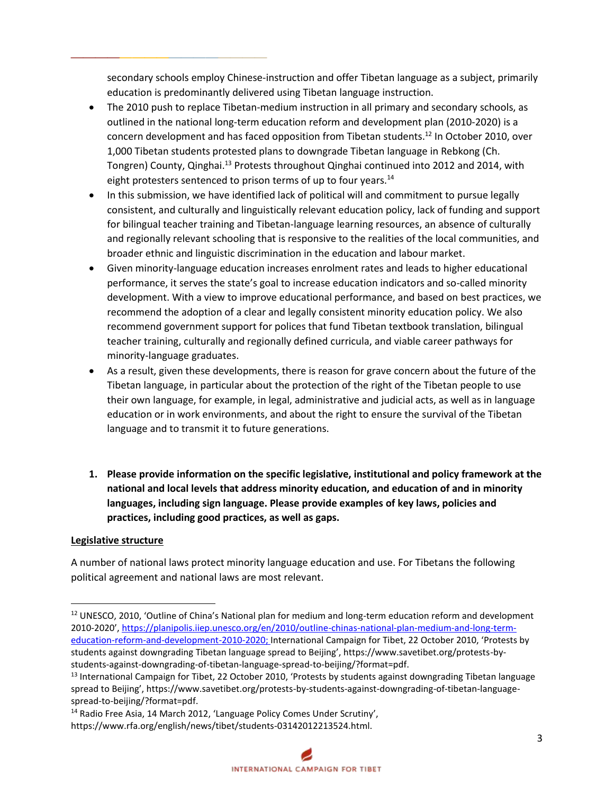secondary schools employ Chinese-instruction and offer Tibetan language as a subject, primarily education is predominantly delivered using Tibetan language instruction.

- The 2010 push to replace Tibetan-medium instruction in all primary and secondary schools, as outlined in the national long-term education reform and development plan (2010-2020) is a concern development and has faced opposition from Tibetan students. <sup>12</sup> In October 2010, over 1,000 Tibetan students protested plans to downgrade Tibetan language in Rebkong (Ch. Tongren) County, Qinghai.<sup>13</sup> Protests throughout Qinghai continued into 2012 and 2014, with eight protesters sentenced to prison terms of up to four years.<sup>14</sup>
- In this submission, we have identified lack of political will and commitment to pursue legally consistent, and culturally and linguistically relevant education policy, lack of funding and support for bilingual teacher training and Tibetan-language learning resources, an absence of culturally and regionally relevant schooling that is responsive to the realities of the local communities, and broader ethnic and linguistic discrimination in the education and labour market.
- Given minority-language education increases enrolment rates and leads to higher educational performance, it serves the state's goal to increase education indicators and so-called minority development. With a view to improve educational performance, and based on best practices, we recommend the adoption of a clear and legally consistent minority education policy. We also recommend government support for polices that fund Tibetan textbook translation, bilingual teacher training, culturally and regionally defined curricula, and viable career pathways for minority-language graduates.
- As a result, given these developments, there is reason for grave concern about the future of the Tibetan language, in particular about the protection of the right of the Tibetan people to use their own language, for example, in legal, administrative and judicial acts, as well as in language education or in work environments, and about the right to ensure the survival of the Tibetan language and to transmit it to future generations.
- **1. Please provide information on the specific legislative, institutional and policy framework at the national and local levels that address minority education, and education of and in minority languages, including sign language. Please provide examples of key laws, policies and practices, including good practices, as well as gaps.**

#### **Legislative structure**

 $\overline{a}$ 

**\_\_\_\_\_\_\_\_\_\_\_\_\_\_\_\_**

A number of national laws protect minority language education and use. For Tibetans the following political agreement and national laws are most relevant.

<sup>12</sup> UNESCO, 2010, 'Outline of China's National plan for medium and long-term education reform and development 2010-2020', [https://planipolis.iiep.unesco.org/en/2010/outline-chinas-national-plan-medium-and-long-term](https://planipolis.iiep.unesco.org/en/2010/outline-chinas-national-plan-medium-and-long-term-education-reform-and-development-2010-2020)[education-reform-and-development-2010-2020;](https://planipolis.iiep.unesco.org/en/2010/outline-chinas-national-plan-medium-and-long-term-education-reform-and-development-2010-2020) International Campaign for Tibet, 22 October 2010, 'Protests by students against downgrading Tibetan language spread to Beijing', https://www.savetibet.org/protests-bystudents-against-downgrading-of-tibetan-language-spread-to-beijing/?format=pdf.

<sup>&</sup>lt;sup>13</sup> International Campaign for Tibet, 22 October 2010, 'Protests by students against downgrading Tibetan language spread to Beijing', https://www.savetibet.org/protests-by-students-against-downgrading-of-tibetan-languagespread-to-beijing/?format=pdf.

<sup>&</sup>lt;sup>14</sup> Radio Free Asia, 14 March 2012, 'Language Policy Comes Under Scrutiny',

https://www.rfa.org/english/news/tibet/students-03142012213524.html.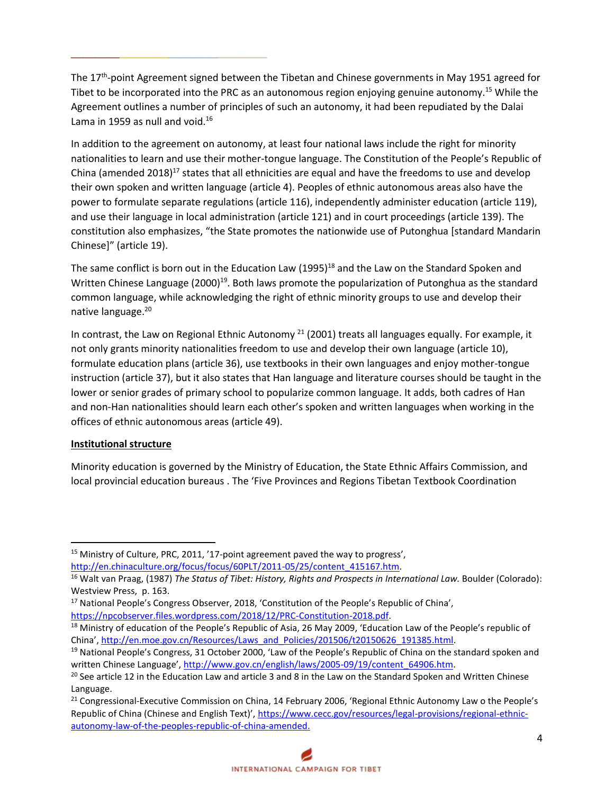The 17<sup>th</sup>-point Agreement signed between the Tibetan and Chinese governments in May 1951 agreed for Tibet to be incorporated into the PRC as an autonomous region enjoying genuine autonomy.<sup>15</sup> While the Agreement outlines a number of principles of such an autonomy, it had been repudiated by the Dalai Lama in 1959 as null and void. $16$ 

In addition to the agreement on autonomy, at least four national laws include the right for minority nationalities to learn and use their mother-tongue language. The Constitution of the People's Republic of China (amended 2018)<sup>17</sup> states that all ethnicities are equal and have the freedoms to use and develop their own spoken and written language (article 4). Peoples of ethnic autonomous areas also have the power to formulate separate regulations (article 116), independently administer education (article 119), and use their language in local administration (article 121) and in court proceedings (article 139). The constitution also emphasizes, "the State promotes the nationwide use of Putonghua [standard Mandarin Chinese]" (article 19).

The same conflict is born out in the Education Law (1995)<sup>18</sup> and the Law on the Standard Spoken and Written Chinese Language (2000)<sup>19</sup>. Both laws promote the popularization of Putonghua as the standard common language, while acknowledging the right of ethnic minority groups to use and develop their native language.<sup>20</sup>

In contrast, the Law on Regional Ethnic Autonomy <sup>21</sup> (2001) treats all languages equally. For example, it not only grants minority nationalities freedom to use and develop their own language (article 10), formulate education plans (article 36), use textbooks in their own languages and enjoy mother-tongue instruction (article 37), but it also states that Han language and literature courses should be taught in the lower or senior grades of primary school to popularize common language. It adds, both cadres of Han and non-Han nationalities should learn each other's spoken and written languages when working in the offices of ethnic autonomous areas (article 49).

#### **Institutional structure**

 $\overline{a}$ 

**\_\_\_\_\_\_\_\_\_\_\_\_\_\_\_\_**

Minority education is governed by the Ministry of Education, the State Ethnic Affairs Commission, and local provincial education bureaus . The 'Five Provinces and Regions Tibetan Textbook Coordination

<sup>19</sup> National People's Congress, 31 October 2000, 'Law of the People's Republic of China on the standard spoken and written Chinese Language', [http://www.gov.cn/english/laws/2005-09/19/content\\_64906.htm.](http://www.gov.cn/english/laws/2005-09/19/content_64906.htm)

<sup>&</sup>lt;sup>15</sup> Ministry of Culture, PRC, 2011, '17-point agreement paved the way to progress', [http://en.chinaculture.org/focus/focus/60PLT/2011-05/25/content\\_415167.htm.](http://en.chinaculture.org/focus/focus/60PLT/2011-05/25/content_415167.htm)

<sup>&</sup>lt;sup>16</sup> Walt van Praag, (1987) *The Status of Tibet: History, Rights and Prospects in International Law. Boulder (Colorado)*: Westview Press, p. 163.

<sup>&</sup>lt;sup>17</sup> National People's Congress Observer, 2018, 'Constitution of the People's Republic of China', [https://npcobserver.files.wordpress.com/2018/12/PRC-Constitution-2018.pdf.](https://npcobserver.files.wordpress.com/2018/12/PRC-Constitution-2018.pdf)

 $18$  Ministry of education of the People's Republic of Asia, 26 May 2009, 'Education Law of the People's republic of China', [http://en.moe.gov.cn/Resources/Laws\\_and\\_Policies/201506/t20150626\\_191385.html.](http://en.moe.gov.cn/Resources/Laws_and_Policies/201506/t20150626_191385.html)

 $20$  See article 12 in the Education Law and article 3 and 8 in the Law on the Standard Spoken and Written Chinese Language.

<sup>&</sup>lt;sup>21</sup> Congressional-Executive Commission on China, 14 February 2006, 'Regional Ethnic Autonomy Law o the People's Republic of China (Chinese and English Text)', [https://www.cecc.gov/resources/legal-provisions/regional-ethnic](https://www.cecc.gov/resources/legal-provisions/regional-ethnic-autonomy-law-of-the-peoples-republic-of-china-amended)[autonomy-law-of-the-peoples-republic-of-china-amended.](https://www.cecc.gov/resources/legal-provisions/regional-ethnic-autonomy-law-of-the-peoples-republic-of-china-amended)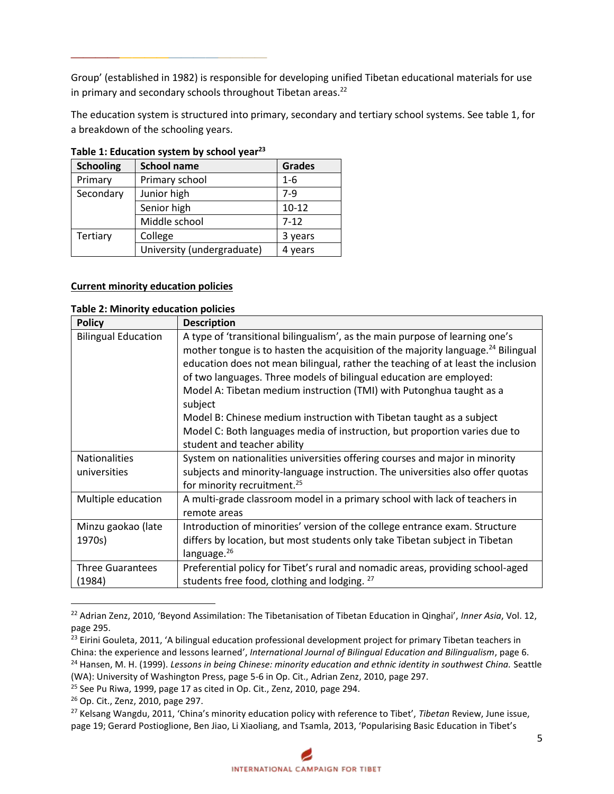Group' (established in 1982) is responsible for developing unified Tibetan educational materials for use in primary and secondary schools throughout Tibetan areas. $^{22}$ 

The education system is structured into primary, secondary and tertiary school systems. See table 1, for a breakdown of the schooling years.

| Table 1. Education system by School year |                            |               |  |  |
|------------------------------------------|----------------------------|---------------|--|--|
| <b>Schooling</b>                         | <b>School name</b>         | <b>Grades</b> |  |  |
| Primary                                  | Primary school             | $1 - 6$       |  |  |
| Secondary                                | Junior high                | $7-9$         |  |  |
|                                          | Senior high                | $10 - 12$     |  |  |
|                                          | Middle school              | $7 - 12$      |  |  |
| Tertiary                                 | College                    | 3 years       |  |  |
|                                          | University (undergraduate) | 4 years       |  |  |

#### **Table 1: Education system by school year<sup>23</sup>**

**\_\_\_\_\_\_\_\_\_\_\_\_\_\_\_\_**

#### **Current minority education policies**

#### **Table 2: Minority education policies**

| <b>Policy</b>              | <b>Description</b>                                                                           |
|----------------------------|----------------------------------------------------------------------------------------------|
| <b>Bilingual Education</b> | A type of 'transitional bilingualism', as the main purpose of learning one's                 |
|                            | mother tongue is to hasten the acquisition of the majority language. <sup>24</sup> Bilingual |
|                            | education does not mean bilingual, rather the teaching of at least the inclusion             |
|                            | of two languages. Three models of bilingual education are employed:                          |
|                            | Model A: Tibetan medium instruction (TMI) with Putonghua taught as a                         |
|                            | subject                                                                                      |
|                            | Model B: Chinese medium instruction with Tibetan taught as a subject                         |
|                            | Model C: Both languages media of instruction, but proportion varies due to                   |
|                            | student and teacher ability                                                                  |
| Nationalities              | System on nationalities universities offering courses and major in minority                  |
| universities               | subjects and minority-language instruction. The universities also offer quotas               |
|                            | for minority recruitment. <sup>25</sup>                                                      |
| Multiple education         | A multi-grade classroom model in a primary school with lack of teachers in                   |
|                            | remote areas                                                                                 |
| Minzu gaokao (late         | Introduction of minorities' version of the college entrance exam. Structure                  |
| 1970s)                     | differs by location, but most students only take Tibetan subject in Tibetan                  |
|                            | language. <sup>26</sup>                                                                      |
| <b>Three Guarantees</b>    | Preferential policy for Tibet's rural and nomadic areas, providing school-aged               |
| (1984)                     | students free food, clothing and lodging. 27                                                 |

<sup>22</sup> Adrian Zenz, 2010, 'Beyond Assimilation: The Tibetanisation of Tibetan Education in Qinghai', *Inner Asia*, Vol. 12, page 295.

<sup>&</sup>lt;sup>23</sup> Eirini Gouleta, 2011, 'A bilingual education professional development project for primary Tibetan teachers in China: the experience and lessons learned', *International Journal of Bilingual Education and Bilingualism*, page 6. <sup>24</sup> Hansen, M. H. (1999). *Lessons in being Chinese: minority education and ethnic identity in southwest China.* Seattle (WA): University of Washington Press, page 5-6 in Op. Cit., Adrian Zenz, 2010, page 297.

<sup>&</sup>lt;sup>25</sup> See Pu Riwa, 1999, page 17 as cited in Op. Cit., Zenz, 2010, page 294.

<sup>26</sup> Op. Cit., Zenz, 2010, page 297.

<sup>27</sup> Kelsang Wangdu, 2011, 'China's minority education policy with reference to Tibet', *Tibetan* Review, June issue, page 19; Gerard Postioglione, Ben Jiao, Li Xiaoliang, and Tsamla, 2013, 'Popularising Basic Education in Tibet's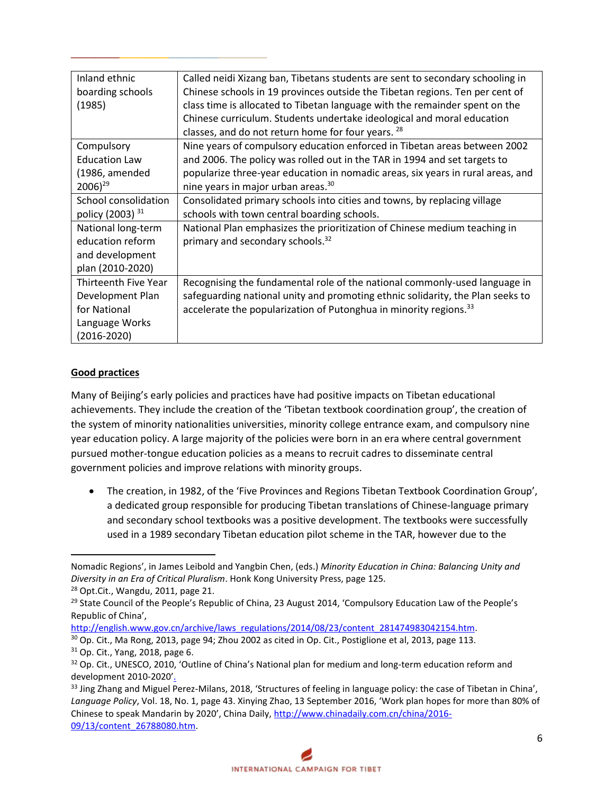| Inland ethnic               | Called neidi Xizang ban, Tibetans students are sent to secondary schooling in   |
|-----------------------------|---------------------------------------------------------------------------------|
| boarding schools            | Chinese schools in 19 provinces outside the Tibetan regions. Ten per cent of    |
| (1985)                      | class time is allocated to Tibetan language with the remainder spent on the     |
|                             | Chinese curriculum. Students undertake ideological and moral education          |
|                             | classes, and do not return home for four years. 28                              |
| Compulsory                  | Nine years of compulsory education enforced in Tibetan areas between 2002       |
| <b>Education Law</b>        | and 2006. The policy was rolled out in the TAR in 1994 and set targets to       |
| (1986, amended              | popularize three-year education in nomadic areas, six years in rural areas, and |
| $2006$ <sup>29</sup>        | nine years in major urban areas. <sup>30</sup>                                  |
| School consolidation        | Consolidated primary schools into cities and towns, by replacing village        |
| policy (2003) <sup>31</sup> | schools with town central boarding schools.                                     |
| National long-term          | National Plan emphasizes the prioritization of Chinese medium teaching in       |
| education reform            | primary and secondary schools. <sup>32</sup>                                    |
| and development             |                                                                                 |
| plan (2010-2020)            |                                                                                 |
| <b>Thirteenth Five Year</b> | Recognising the fundamental role of the national commonly-used language in      |
| Development Plan            | safeguarding national unity and promoting ethnic solidarity, the Plan seeks to  |
| for National                | accelerate the popularization of Putonghua in minority regions. <sup>33</sup>   |
| Language Works              |                                                                                 |
| $(2016 - 2020)$             |                                                                                 |

# **Good practices**

 $\overline{a}$ 

**\_\_\_\_\_\_\_\_\_\_\_\_\_\_\_\_**

Many of Beijing's early policies and practices have had positive impacts on Tibetan educational achievements. They include the creation of the 'Tibetan textbook coordination group', the creation of the system of minority nationalities universities, minority college entrance exam, and compulsory nine year education policy. A large majority of the policies were born in an era where central government pursued mother-tongue education policies as a means to recruit cadres to disseminate central government policies and improve relations with minority groups.

 The creation, in 1982, of the 'Five Provinces and Regions Tibetan Textbook Coordination Group', a dedicated group responsible for producing Tibetan translations of Chinese-language primary and secondary school textbooks was a positive development. The textbooks were successfully used in a 1989 secondary Tibetan education pilot scheme in the TAR, however due to the

Nomadic Regions', in James Leibold and Yangbin Chen, (eds.) *Minority Education in China: Balancing Unity and Diversity in an Era of Critical Pluralism*. Honk Kong University Press, page 125.

<sup>28</sup> Opt.Cit., Wangdu, 2011, page 21.

<sup>&</sup>lt;sup>29</sup> State Council of the People's Republic of China, 23 August 2014, 'Compulsory Education Law of the People's Republic of China',

[http://english.www.gov.cn/archive/laws\\_regulations/2014/08/23/content\\_281474983042154.htm.](http://english.www.gov.cn/archive/laws_regulations/2014/08/23/content_281474983042154.htm)

 $30$  Op. Cit., Ma Rong, 2013, page 94; Zhou 2002 as cited in Op. Cit., Postiglione et al, 2013, page 113.  $31$  Op. Cit., Yang, 2018, page 6.

 $32$  Op. Cit., UNESCO, 2010, 'Outline of China's National plan for medium and long-term education reform and development 2010-2020'[.](https://planipolis.iiep.unesco.org/en/2010/outline-chinas-national-plan-medium-and-long-term-education-reform-and-development-2010-2020)

<sup>33</sup> Jing Zhang and Miguel Perez-Milans, 2018, 'Structures of feeling in language policy: the case of Tibetan in China', *Language Policy*, Vol. 18, No. 1, page 43. Xinying Zhao, 13 September 2016, 'Work plan hopes for more than 80% of Chinese to speak Mandarin by 2020', China Daily, [http://www.chinadaily.com.cn/china/2016-](http://www.chinadaily.com.cn/china/2016-09/13/content_26788080.htm) [09/13/content\\_26788080.htm.](http://www.chinadaily.com.cn/china/2016-09/13/content_26788080.htm)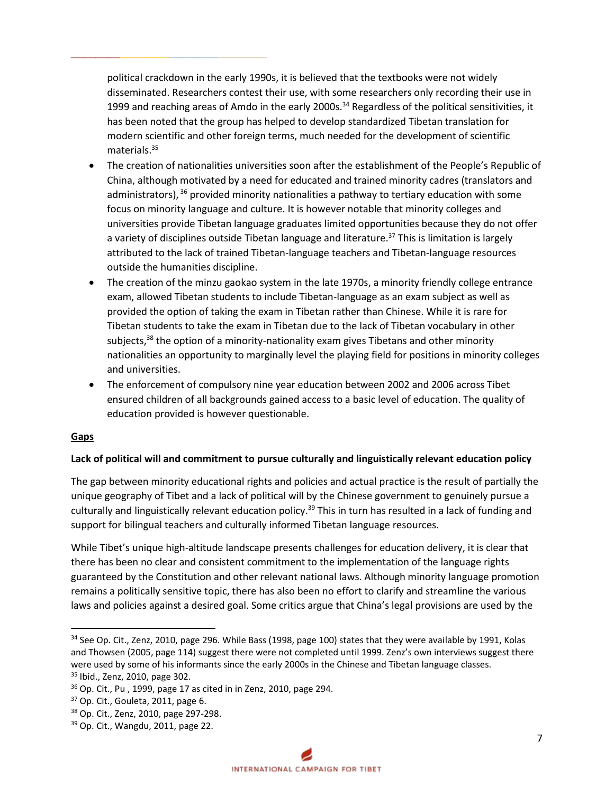political crackdown in the early 1990s, it is believed that the textbooks were not widely disseminated. Researchers contest their use, with some researchers only recording their use in 1999 and reaching areas of Amdo in the early 2000s.<sup>34</sup> Regardless of the political sensitivities, it has been noted that the group has helped to develop standardized Tibetan translation for modern scientific and other foreign terms, much needed for the development of scientific materials.<sup>35</sup>

- The creation of nationalities universities soon after the establishment of the People's Republic of China, although motivated by a need for educated and trained minority cadres (translators and administrators), <sup>36</sup> provided minority nationalities a pathway to tertiary education with some focus on minority language and culture. It is however notable that minority colleges and universities provide Tibetan language graduates limited opportunities because they do not offer a variety of disciplines outside Tibetan language and literature.<sup>37</sup> This is limitation is largely attributed to the lack of trained Tibetan-language teachers and Tibetan-language resources outside the humanities discipline.
- The creation of the minzu gaokao system in the late 1970s, a minority friendly college entrance exam, allowed Tibetan students to include Tibetan-language as an exam subject as well as provided the option of taking the exam in Tibetan rather than Chinese. While it is rare for Tibetan students to take the exam in Tibetan due to the lack of Tibetan vocabulary in other subjects,<sup>38</sup> the option of a minority-nationality exam gives Tibetans and other minority nationalities an opportunity to marginally level the playing field for positions in minority colleges and universities.
- The enforcement of compulsory nine year education between 2002 and 2006 across Tibet ensured children of all backgrounds gained access to a basic level of education. The quality of education provided is however questionable.

# **Gaps**

 $\overline{a}$ 

#### **Lack of political will and commitment to pursue culturally and linguistically relevant education policy**

The gap between minority educational rights and policies and actual practice is the result of partially the unique geography of Tibet and a lack of political will by the Chinese government to genuinely pursue a culturally and linguistically relevant education policy.<sup>39</sup> This in turn has resulted in a lack of funding and support for bilingual teachers and culturally informed Tibetan language resources.

While Tibet's unique high-altitude landscape presents challenges for education delivery, it is clear that there has been no clear and consistent commitment to the implementation of the language rights guaranteed by the Constitution and other relevant national laws. Although minority language promotion remains a politically sensitive topic, there has also been no effort to clarify and streamline the various laws and policies against a desired goal. Some critics argue that China's legal provisions are used by the

**\_\_\_\_\_\_\_\_\_\_\_\_\_\_\_\_**

<sup>&</sup>lt;sup>34</sup> See Op. Cit., Zenz, 2010, page 296. While Bass (1998, page 100) states that they were available by 1991, Kolas and Thowsen (2005, page 114) suggest there were not completed until 1999. Zenz's own interviews suggest there were used by some of his informants since the early 2000s in the Chinese and Tibetan language classes. <sup>35</sup> Ibid., Zenz, 2010, page 302.

 $36$  Op. Cit., Pu, 1999, page 17 as cited in in Zenz, 2010, page 294.

<sup>&</sup>lt;sup>37</sup> Op. Cit., Gouleta, 2011, page 6.

<sup>38</sup> Op. Cit., Zenz, 2010, page 297-298.

<sup>39</sup> Op. Cit., Wangdu, 2011, page 22.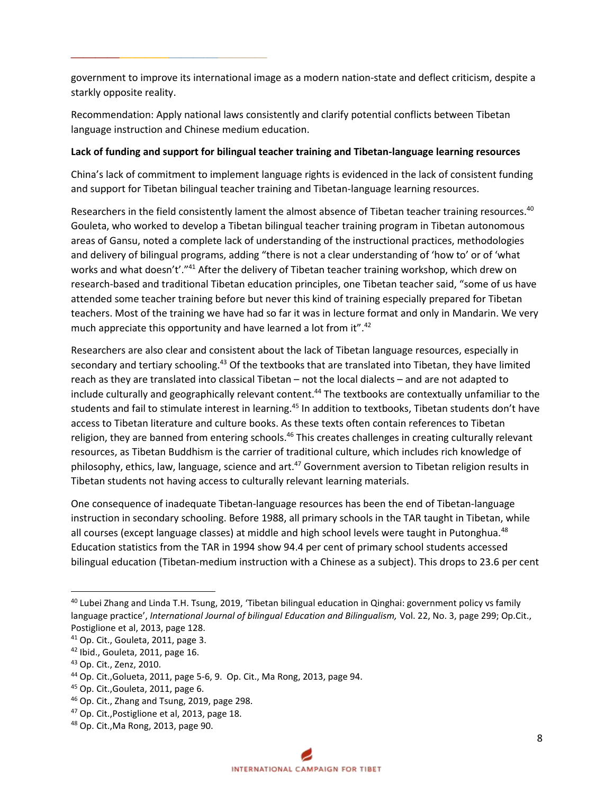government to improve its international image as a modern nation-state and deflect criticism, despite a starkly opposite reality.

Recommendation: Apply national laws consistently and clarify potential conflicts between Tibetan language instruction and Chinese medium education.

**\_\_\_\_\_\_\_\_\_\_\_\_\_\_\_\_**

## **Lack of funding and support for bilingual teacher training and Tibetan-language learning resources**

China's lack of commitment to implement language rights is evidenced in the lack of consistent funding and support for Tibetan bilingual teacher training and Tibetan-language learning resources.

Researchers in the field consistently lament the almost absence of Tibetan teacher training resources.<sup>40</sup> Gouleta, who worked to develop a Tibetan bilingual teacher training program in Tibetan autonomous areas of Gansu, noted a complete lack of understanding of the instructional practices, methodologies and delivery of bilingual programs, adding "there is not a clear understanding of 'how to' or of 'what works and what doesn't'."<sup>41</sup> After the delivery of Tibetan teacher training workshop, which drew on research-based and traditional Tibetan education principles, one Tibetan teacher said, "some of us have attended some teacher training before but never this kind of training especially prepared for Tibetan teachers. Most of the training we have had so far it was in lecture format and only in Mandarin. We very much appreciate this opportunity and have learned a lot from it".<sup>42</sup>

Researchers are also clear and consistent about the lack of Tibetan language resources, especially in secondary and tertiary schooling.<sup>43</sup> Of the textbooks that are translated into Tibetan, they have limited reach as they are translated into classical Tibetan – not the local dialects – and are not adapted to include culturally and geographically relevant content.<sup>44</sup> The textbooks are contextually unfamiliar to the students and fail to stimulate interest in learning.<sup>45</sup> In addition to textbooks, Tibetan students don't have access to Tibetan literature and culture books. As these texts often contain references to Tibetan religion, they are banned from entering schools.<sup>46</sup> This creates challenges in creating culturally relevant resources, as Tibetan Buddhism is the carrier of traditional culture, which includes rich knowledge of philosophy, ethics, law, language, science and art.<sup>47</sup> Government aversion to Tibetan religion results in Tibetan students not having access to culturally relevant learning materials.

One consequence of inadequate Tibetan-language resources has been the end of Tibetan-language instruction in secondary schooling. Before 1988, all primary schools in the TAR taught in Tibetan, while all courses (except language classes) at middle and high school levels were taught in Putonghua.<sup>48</sup> Education statistics from the TAR in 1994 show 94.4 per cent of primary school students accessed bilingual education (Tibetan-medium instruction with a Chinese as a subject). This drops to 23.6 per cent

<sup>40</sup> Lubei Zhang and Linda T.H. Tsung, 2019, 'Tibetan bilingual education in Qinghai: government policy vs family language practice', *International Journal of bilingual Education and Bilingualism,* Vol. 22, No. 3, page 299; Op.Cit., Postiglione et al, 2013, page 128.

<sup>41</sup> Op. Cit., Gouleta, 2011, page 3.

 $42$  Ibid., Gouleta, 2011, page 16.

<sup>43</sup> Op. Cit., Zenz, 2010.

<sup>44</sup> Op. Cit.,Golueta, 2011, page 5-6, 9. Op. Cit., Ma Rong, 2013, page 94.

<sup>45</sup> Op. Cit.,Gouleta, 2011, page 6.

<sup>46</sup> Op. Cit., Zhang and Tsung, 2019, page 298.

 $47$  Op. Cit., Postiglione et al, 2013, page 18.

<sup>48</sup> Op. Cit.,Ma Rong, 2013, page 90.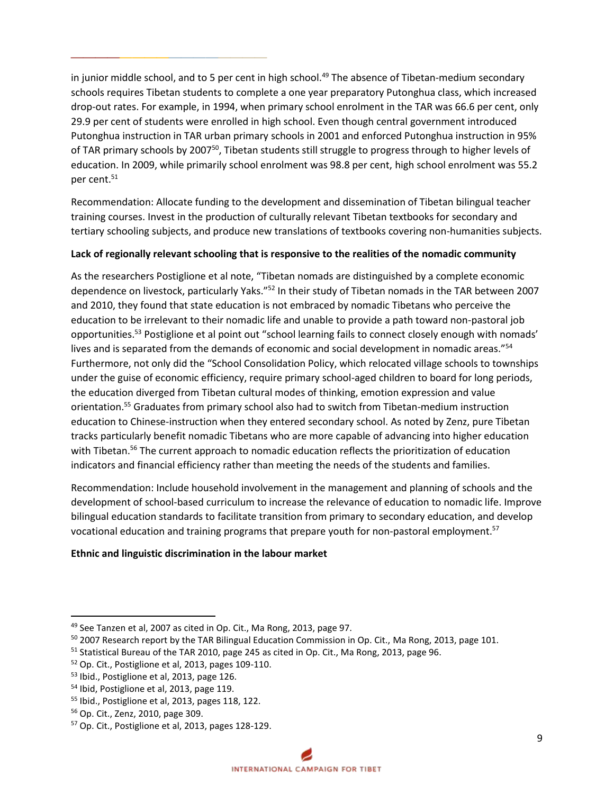in junior middle school, and to 5 per cent in high school.<sup>49</sup> The absence of Tibetan-medium secondary schools requires Tibetan students to complete a one year preparatory Putonghua class, which increased drop-out rates. For example, in 1994, when primary school enrolment in the TAR was 66.6 per cent, only 29.9 per cent of students were enrolled in high school. Even though central government introduced Putonghua instruction in TAR urban primary schools in 2001 and enforced Putonghua instruction in 95% of TAR primary schools by 2007<sup>50</sup>, Tibetan students still struggle to progress through to higher levels of education. In 2009, while primarily school enrolment was 98.8 per cent, high school enrolment was 55.2 per cent.<sup>51</sup>

Recommendation: Allocate funding to the development and dissemination of Tibetan bilingual teacher training courses. Invest in the production of culturally relevant Tibetan textbooks for secondary and tertiary schooling subjects, and produce new translations of textbooks covering non-humanities subjects.

### **Lack of regionally relevant schooling that is responsive to the realities of the nomadic community**

As the researchers Postiglione et al note, "Tibetan nomads are distinguished by a complete economic dependence on livestock, particularly Yaks."<sup>52</sup> In their study of Tibetan nomads in the TAR between 2007 and 2010, they found that state education is not embraced by nomadic Tibetans who perceive the education to be irrelevant to their nomadic life and unable to provide a path toward non-pastoral job opportunities.<sup>53</sup> Postiglione et al point out "school learning fails to connect closely enough with nomads' lives and is separated from the demands of economic and social development in nomadic areas."<sup>54</sup> Furthermore, not only did the "School Consolidation Policy, which relocated village schools to townships under the guise of economic efficiency, require primary school-aged children to board for long periods, the education diverged from Tibetan cultural modes of thinking, emotion expression and value orientation.<sup>55</sup> Graduates from primary school also had to switch from Tibetan-medium instruction education to Chinese-instruction when they entered secondary school. As noted by Zenz, pure Tibetan tracks particularly benefit nomadic Tibetans who are more capable of advancing into higher education with Tibetan.<sup>56</sup> The current approach to nomadic education reflects the prioritization of education indicators and financial efficiency rather than meeting the needs of the students and families.

Recommendation: Include household involvement in the management and planning of schools and the development of school-based curriculum to increase the relevance of education to nomadic life. Improve bilingual education standards to facilitate transition from primary to secondary education, and develop vocational education and training programs that prepare youth for non-pastoral employment.<sup>57</sup>

#### **Ethnic and linguistic discrimination in the labour market**

**\_\_\_\_\_\_\_\_\_\_\_\_\_\_\_\_**

<sup>49</sup> See Tanzen et al, 2007 as cited in Op. Cit., Ma Rong, 2013, page 97.

<sup>&</sup>lt;sup>50</sup> 2007 Research report by the TAR Bilingual Education Commission in Op. Cit., Ma Rong, 2013, page 101.

<sup>&</sup>lt;sup>51</sup> Statistical Bureau of the TAR 2010, page 245 as cited in Op. Cit., Ma Rong, 2013, page 96.

<sup>52</sup> Op. Cit., Postiglione et al, 2013, pages 109-110.

<sup>&</sup>lt;sup>53</sup> Ibid., Postiglione et al, 2013, page 126.

<sup>54</sup> Ibid, Postiglione et al, 2013, page 119.

<sup>55</sup> Ibid., Postiglione et al, 2013, pages 118, 122.

<sup>56</sup> Op. Cit., Zenz, 2010, page 309.

<sup>57</sup> Op. Cit., Postiglione et al, 2013, pages 128-129.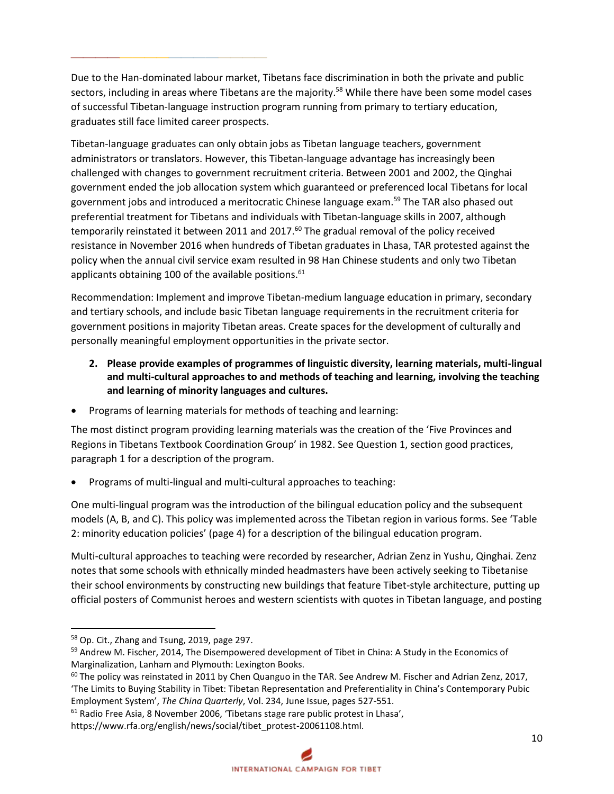Due to the Han-dominated labour market, Tibetans face discrimination in both the private and public sectors, including in areas where Tibetans are the majority.<sup>58</sup> While there have been some model cases of successful Tibetan-language instruction program running from primary to tertiary education, graduates still face limited career prospects.

Tibetan-language graduates can only obtain jobs as Tibetan language teachers, government administrators or translators. However, this Tibetan-language advantage has increasingly been challenged with changes to government recruitment criteria. Between 2001 and 2002, the Qinghai government ended the job allocation system which guaranteed or preferenced local Tibetans for local government jobs and introduced a meritocratic Chinese language exam.<sup>59</sup> The TAR also phased out preferential treatment for Tibetans and individuals with Tibetan-language skills in 2007, although temporarily reinstated it between 2011 and 2017.<sup>60</sup> The gradual removal of the policy received resistance in November 2016 when hundreds of Tibetan graduates in Lhasa, TAR protested against the policy when the annual civil service exam resulted in 98 Han Chinese students and only two Tibetan applicants obtaining 100 of the available positions.<sup>61</sup>

Recommendation: Implement and improve Tibetan-medium language education in primary, secondary and tertiary schools, and include basic Tibetan language requirements in the recruitment criteria for government positions in majority Tibetan areas. Create spaces for the development of culturally and personally meaningful employment opportunities in the private sector.

- **2. Please provide examples of programmes of linguistic diversity, learning materials, multi-lingual and multi-cultural approaches to and methods of teaching and learning, involving the teaching and learning of minority languages and cultures.**
- Programs of learning materials for methods of teaching and learning:

The most distinct program providing learning materials was the creation of the 'Five Provinces and Regions in Tibetans Textbook Coordination Group' in 1982. See Question 1, section good practices, paragraph 1 for a description of the program.

Programs of multi-lingual and multi-cultural approaches to teaching:

One multi-lingual program was the introduction of the bilingual education policy and the subsequent models (A, B, and C). This policy was implemented across the Tibetan region in various forms. See 'Table 2: minority education policies' (page 4) for a description of the bilingual education program.

Multi-cultural approaches to teaching were recorded by researcher, Adrian Zenz in Yushu, Qinghai. Zenz notes that some schools with ethnically minded headmasters have been actively seeking to Tibetanise their school environments by constructing new buildings that feature Tibet-style architecture, putting up official posters of Communist heroes and western scientists with quotes in Tibetan language, and posting

 $\overline{a}$ 

**\_\_\_\_\_\_\_\_\_\_\_\_\_\_\_\_**

<sup>58</sup> Op. Cit., Zhang and Tsung, 2019, page 297.

<sup>&</sup>lt;sup>59</sup> Andrew M. Fischer, 2014, The Disempowered development of Tibet in China: A Study in the Economics of Marginalization, Lanham and Plymouth: Lexington Books.

 $60$  The policy was reinstated in 2011 by Chen Quanguo in the TAR. See Andrew M. Fischer and Adrian Zenz, 2017, 'The Limits to Buying Stability in Tibet: Tibetan Representation and Preferentiality in China's Contemporary Pubic Employment System', *The China Quarterly*, Vol. 234, June Issue, pages 527-551.

 $61$  Radio Free Asia, 8 November 2006, 'Tibetans stage rare public protest in Lhasa',

https://www.rfa.org/english/news/social/tibet\_protest-20061108.html.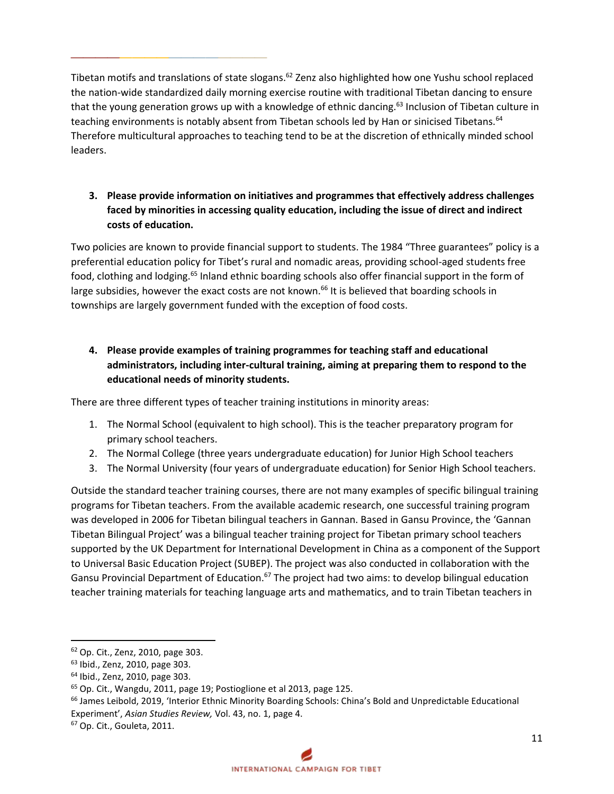Tibetan motifs and translations of state slogans.<sup>62</sup> Zenz also highlighted how one Yushu school replaced the nation-wide standardized daily morning exercise routine with traditional Tibetan dancing to ensure that the young generation grows up with a knowledge of ethnic dancing.<sup>63</sup> Inclusion of Tibetan culture in teaching environments is notably absent from Tibetan schools led by Han or sinicised Tibetans.<sup>64</sup> Therefore multicultural approaches to teaching tend to be at the discretion of ethnically minded school leaders.

**\_\_\_\_\_\_\_\_\_\_\_\_\_\_\_\_**

**3. Please provide information on initiatives and programmes that effectively address challenges faced by minorities in accessing quality education, including the issue of direct and indirect costs of education.**

Two policies are known to provide financial support to students. The 1984 "Three guarantees" policy is a preferential education policy for Tibet's rural and nomadic areas, providing school-aged students free food, clothing and lodging.<sup>65</sup> Inland ethnic boarding schools also offer financial support in the form of large subsidies, however the exact costs are not known.<sup>66</sup> It is believed that boarding schools in townships are largely government funded with the exception of food costs.

**4. Please provide examples of training programmes for teaching staff and educational administrators, including inter-cultural training, aiming at preparing them to respond to the educational needs of minority students.**

There are three different types of teacher training institutions in minority areas:

- 1. The Normal School (equivalent to high school). This is the teacher preparatory program for primary school teachers.
- 2. The Normal College (three years undergraduate education) for Junior High School teachers
- 3. The Normal University (four years of undergraduate education) for Senior High School teachers.

Outside the standard teacher training courses, there are not many examples of specific bilingual training programs for Tibetan teachers. From the available academic research, one successful training program was developed in 2006 for Tibetan bilingual teachers in Gannan. Based in Gansu Province, the 'Gannan Tibetan Bilingual Project' was a bilingual teacher training project for Tibetan primary school teachers supported by the UK Department for International Development in China as a component of the Support to Universal Basic Education Project (SUBEP). The project was also conducted in collaboration with the Gansu Provincial Department of Education.<sup>67</sup> The project had two aims: to develop bilingual education teacher training materials for teaching language arts and mathematics, and to train Tibetan teachers in

<sup>62</sup> Op. Cit., Zenz, 2010, page 303.

<sup>63</sup> Ibid., Zenz, 2010, page 303.

<sup>64</sup> Ibid., Zenz, 2010, page 303.

<sup>65</sup> Op. Cit., Wangdu, 2011, page 19; Postioglione et al 2013, page 125.

<sup>&</sup>lt;sup>66</sup> James Leibold, 2019, 'Interior Ethnic Minority Boarding Schools: China's Bold and Unpredictable Educational Experiment', *Asian Studies Review,* Vol. 43, no. 1, page 4.

<sup>67</sup> Op. Cit., Gouleta, 2011.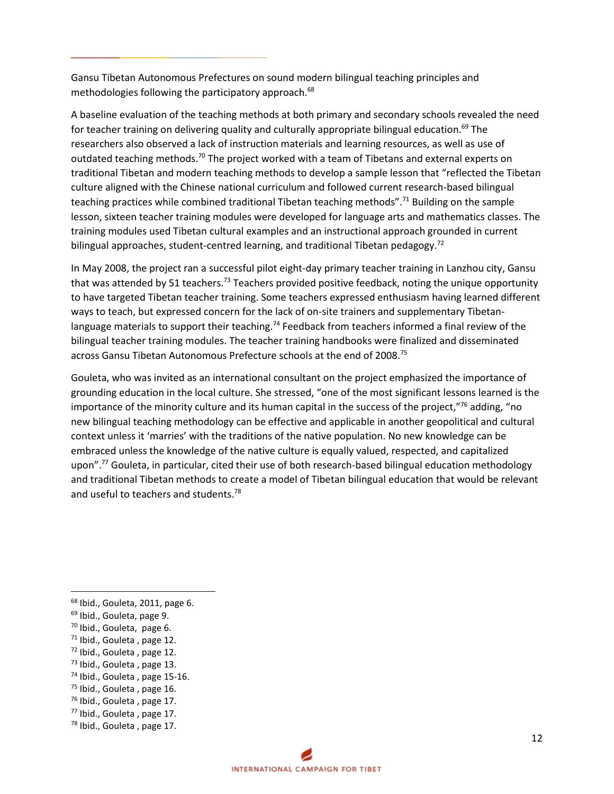Gansu Tibetan Autonomous Prefectures on sound modern bilingual teaching principles and methodologies following the participatory approach.<sup>68</sup>

**\_\_\_\_\_\_\_\_\_\_\_\_\_\_\_\_**

A baseline evaluation of the teaching methods at both primary and secondary schools revealed the need for teacher training on delivering quality and culturally appropriate bilingual education.<sup>69</sup> The researchers also observed a lack of instruction materials and learning resources, as well as use of outdated teaching methods.<sup>70</sup> The project worked with a team of Tibetans and external experts on traditional Tibetan and modern teaching methods to develop a sample lesson that "reflected the Tibetan culture aligned with the Chinese national curriculum and followed current research-based bilingual teaching practices while combined traditional Tibetan teaching methods".<sup>71</sup> Building on the sample lesson, sixteen teacher training modules were developed for language arts and mathematics classes. The training modules used Tibetan cultural examples and an instructional approach grounded in current bilingual approaches, student-centred learning, and traditional Tibetan pedagogy.<sup>72</sup>

In May 2008, the project ran a successful pilot eight-day primary teacher training in Lanzhou city, Gansu that was attended by 51 teachers.<sup>73</sup> Teachers provided positive feedback, noting the unique opportunity to have targeted Tibetan teacher training. Some teachers expressed enthusiasm having learned different ways to teach, but expressed concern for the lack of on-site trainers and supplementary Tibetanlanguage materials to support their teaching.<sup>74</sup> Feedback from teachers informed a final review of the bilingual teacher training modules. The teacher training handbooks were finalized and disseminated across Gansu Tibetan Autonomous Prefecture schools at the end of 2008.<sup>75</sup>

Gouleta, who was invited as an international consultant on the project emphasized the importance of grounding education in the local culture. She stressed, "one of the most significant lessons learned is the importance of the minority culture and its human capital in the success of the project,"<sup>76</sup> adding, "no new bilingual teaching methodology can be effective and applicable in another geopolitical and cultural context unless it 'marries' with the traditions of the native population. No new knowledge can be embraced unless the knowledge of the native culture is equally valued, respected, and capitalized upon".<sup>77</sup> Gouleta, in particular, cited their use of both research-based bilingual education methodology and traditional Tibetan methods to create a model of Tibetan bilingual education that would be relevant and useful to teachers and students.<sup>78</sup>

 $\overline{a}$ 

<sup>76</sup> Ibid., Gouleta , page 17.

<sup>68</sup> Ibid., Gouleta, 2011, page 6.

<sup>69</sup> Ibid., Gouleta, page 9.

 $70$  Ibid., Gouleta, page 6.

<sup>71</sup> Ibid., Gouleta , page 12.

 $72$  Ibid., Gouleta, page 12.

 $73$  Ibid., Gouleta, page 13.

<sup>74</sup> Ibid., Gouleta , page 15-16.

<sup>75</sup> Ibid., Gouleta, page 16.

<sup>77</sup> Ibid., Gouleta , page 17.

<sup>78</sup> Ibid., Gouleta , page 17.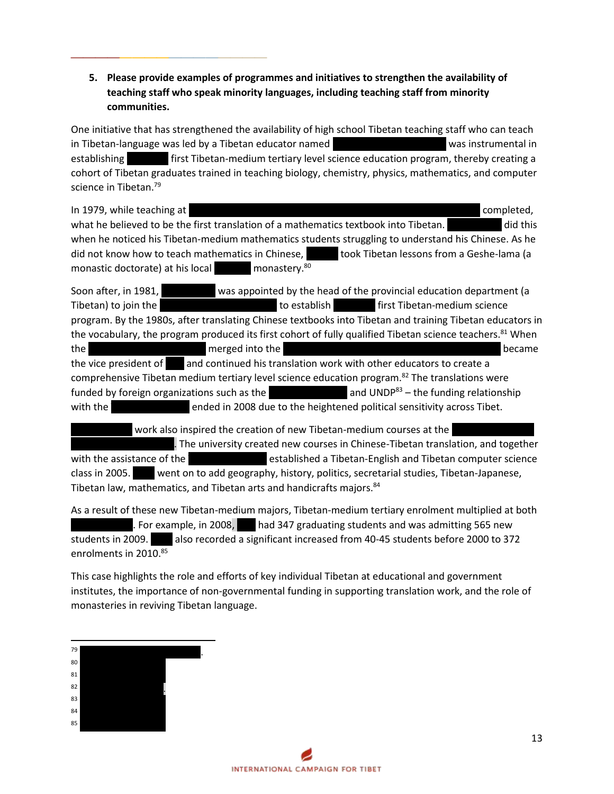**5. Please provide examples of programmes and initiatives to strengthen the availability of teaching staff who speak minority languages, including teaching staff from minority communities.**

**\_\_\_\_\_\_\_\_\_\_\_\_\_\_\_\_**

One initiative that has strengthened the availability of high school Tibetan teaching staff who can teach in Tibetan-language was led by a Tibetan educator named Sangye Gyanness was instrumental in establishing **Finghamish is first Tibetan-medium tertiary level science education program, thereby creating a** cohort of Tibetan graduates trained in teaching biology, chemistry, physics, mathematics, and computer science in Tibetan.<sup>79</sup>

In 1979, while teaching at the Huangnan Nationalities Teacher Training School, Sangye Gyangnan Nationalities Teacher Training School, Sangye Gyan completed, what he believed to be the first translation of a mathematics textbook into Tibetan. Sangle did this when he noticed his Tibetan-medium mathematics students struggling to understand his Chinese. As he did not know how to teach mathematics in Chinese, Sangye took Tibetan lessons from a Geshe-lama (a monastic doctorate) at his local monastery.<sup>80</sup>

Soon after, in 1981, Sangye Gyal was appointed by the head of the provincial education department (a Tibetan) to join the  $\qquad \qquad$  to establish  $\qquad \qquad$  first Tibetan-medium science program. By the 1980s, after translating Chinese textbooks into Tibetan and training Tibetan educators in the vocabulary, the program produced its first cohort of fully qualified Tibetan science teachers.<sup>81</sup> When the **College merged into the Nationalities Teacher merged into the Nationalities Teacher College (NTC), Sangye Gyan became** the vice president of **NTC and continued his translation work with other educators to create a** comprehensive Tibetan medium tertiary level science education program.<sup>82</sup> The translations were funded by foreign organizations such as the Trace Foundation and UNDP<sup>83</sup> – the funding relationship with the Trace Foundation ended in 2008 due to the heightened political sensitivity across Tibet.

work also inspired the creation of new Tibetan-medium courses at the

. The university created new courses in Chinese-Tibetan translation, and together with the assistance of the Trace Foundation established a Tibetan-English and Tibetan computer science class in 2005. Went on to add geography, history, politics, secretarial studies, Tibetan-Japanese, Tibetan law, mathematics, and Tibetan arts and handicrafts majors.<sup>84</sup>

As a result of these new Tibetan-medium majors, Tibetan-medium tertiary enrolment multiplied at both . For example, in 2008,  $\blacksquare$  had 347 graduating students and was admitting 565 new students in 2009. also recorded a significant increased from 40-45 students before 2000 to 372 enrolments in 2010.<sup>85</sup>

This case highlights the role and efforts of key individual Tibetan at educational and government institutes, the importance of non-governmental funding in supporting translation work, and the role of monasteries in reviving Tibetan language.

- $\overline{a}$  $79$  .
- 80 **Ibid., Zenz, page 297.**
- 81 **Ibid., Zenz, page 300.**  $82$   $\qquad \qquad \ldots$
- 83 Ibid., Zenz, page 300.
- 84 Ibid., 200. **December 300.**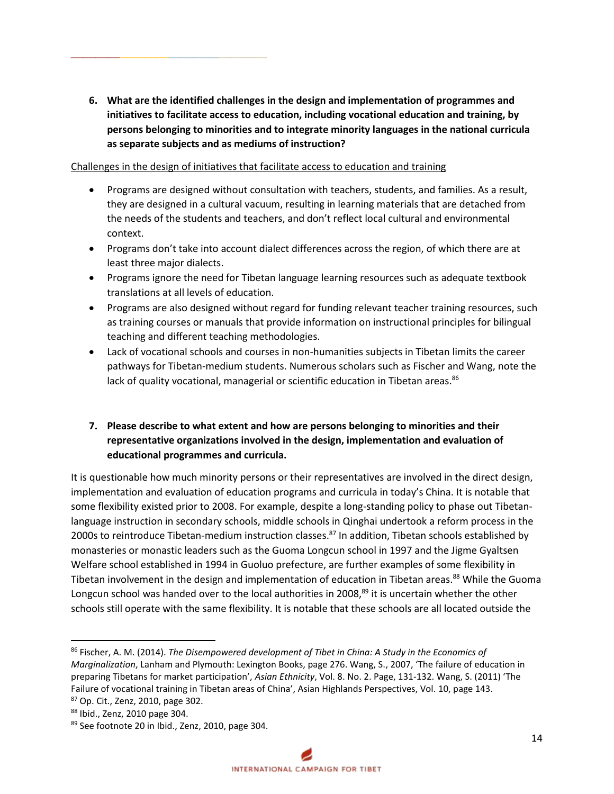**6. What are the identified challenges in the design and implementation of programmes and initiatives to facilitate access to education, including vocational education and training, by persons belonging to minorities and to integrate minority languages in the national curricula as separate subjects and as mediums of instruction?**

Challenges in the design of initiatives that facilitate access to education and training

**\_\_\_\_\_\_\_\_\_\_\_\_\_\_\_\_**

- Programs are designed without consultation with teachers, students, and families. As a result, they are designed in a cultural vacuum, resulting in learning materials that are detached from the needs of the students and teachers, and don't reflect local cultural and environmental context.
- Programs don't take into account dialect differences across the region, of which there are at least three major dialects.
- Programs ignore the need for Tibetan language learning resources such as adequate textbook translations at all levels of education.
- Programs are also designed without regard for funding relevant teacher training resources, such as training courses or manuals that provide information on instructional principles for bilingual teaching and different teaching methodologies.
- Lack of vocational schools and courses in non-humanities subjects in Tibetan limits the career pathways for Tibetan-medium students. Numerous scholars such as Fischer and Wang, note the lack of quality vocational, managerial or scientific education in Tibetan areas.<sup>86</sup>

# **7. Please describe to what extent and how are persons belonging to minorities and their representative organizations involved in the design, implementation and evaluation of educational programmes and curricula.**

It is questionable how much minority persons or their representatives are involved in the direct design, implementation and evaluation of education programs and curricula in today's China. It is notable that some flexibility existed prior to 2008. For example, despite a long-standing policy to phase out Tibetanlanguage instruction in secondary schools, middle schools in Qinghai undertook a reform process in the 2000s to reintroduce Tibetan-medium instruction classes.<sup>87</sup> In addition, Tibetan schools established by monasteries or monastic leaders such as the Guoma Longcun school in 1997 and the Jigme Gyaltsen Welfare school established in 1994 in Guoluo prefecture, are further examples of some flexibility in Tibetan involvement in the design and implementation of education in Tibetan areas.<sup>88</sup> While the Guoma Longcun school was handed over to the local authorities in 2008,<sup>89</sup> it is uncertain whether the other schools still operate with the same flexibility. It is notable that these schools are all located outside the

<sup>86</sup> Fischer, A. M. (2014). *The Disempowered development of Tibet in China: A Study in the Economics of Marginalization*, Lanham and Plymouth: Lexington Books, page 276. Wang, S., 2007, 'The failure of education in preparing Tibetans for market participation', *Asian Ethnicity*, Vol. 8. No. 2. Page, 131-132. Wang, S. (2011) 'The Failure of vocational training in Tibetan areas of China', Asian Highlands Perspectives, Vol. 10, page 143. <sup>87</sup> Op. Cit., Zenz, 2010, page 302.

<sup>88</sup> Ibid., Zenz, 2010 page 304.

<sup>89</sup> See footnote 20 in Ibid., Zenz, 2010, page 304.